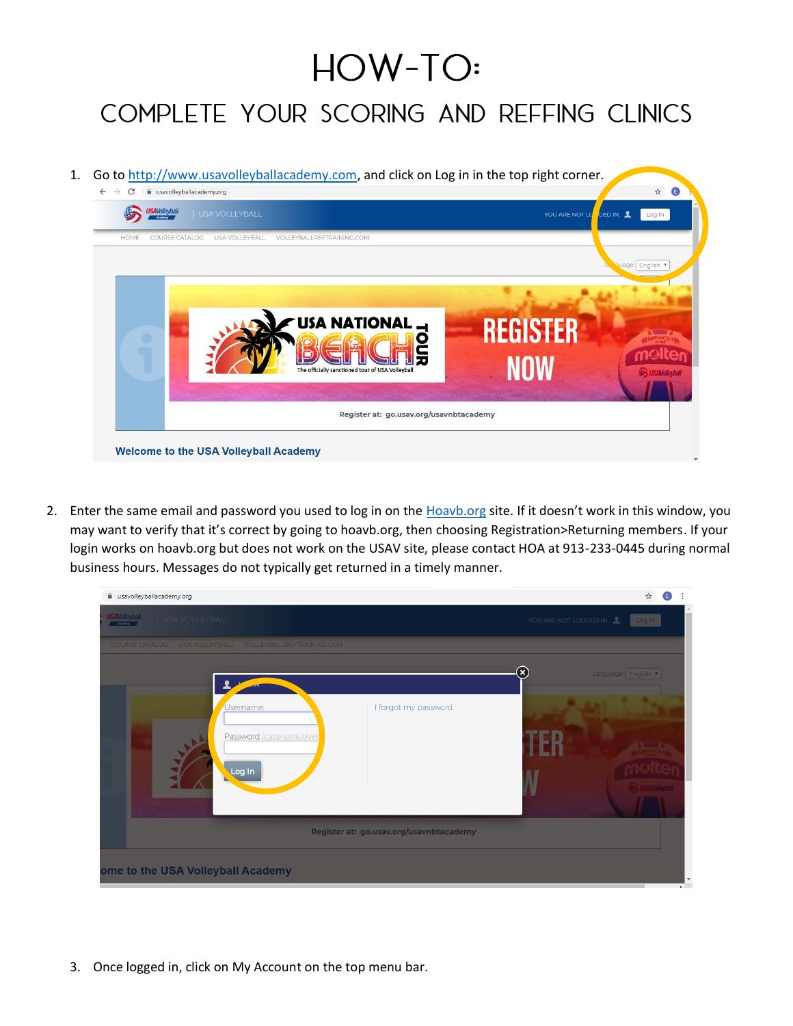## HOW-TO:

## COMPLETE YOUR SCORING AND REFFING CLINICS

1. Go to [http://www.usavolleyballacademy.com,](http://www.usavolleyballacademy.com/) and click on Log in in the top right corner.



2. Enter the same email and password you used to log in on the **Hoavb.org site. If it doesn't work in this window**, you may want to verify that it's correct by going to hoavb.org, then choosing Registration>Returning members. If your login works on hoavb.org but does not work on the USAV site, please contact HOA at 913-233-0445 during normal business hours. Messages do not typically get returned in a timely manner.



3. Once logged in, click on My Account on the top menu bar.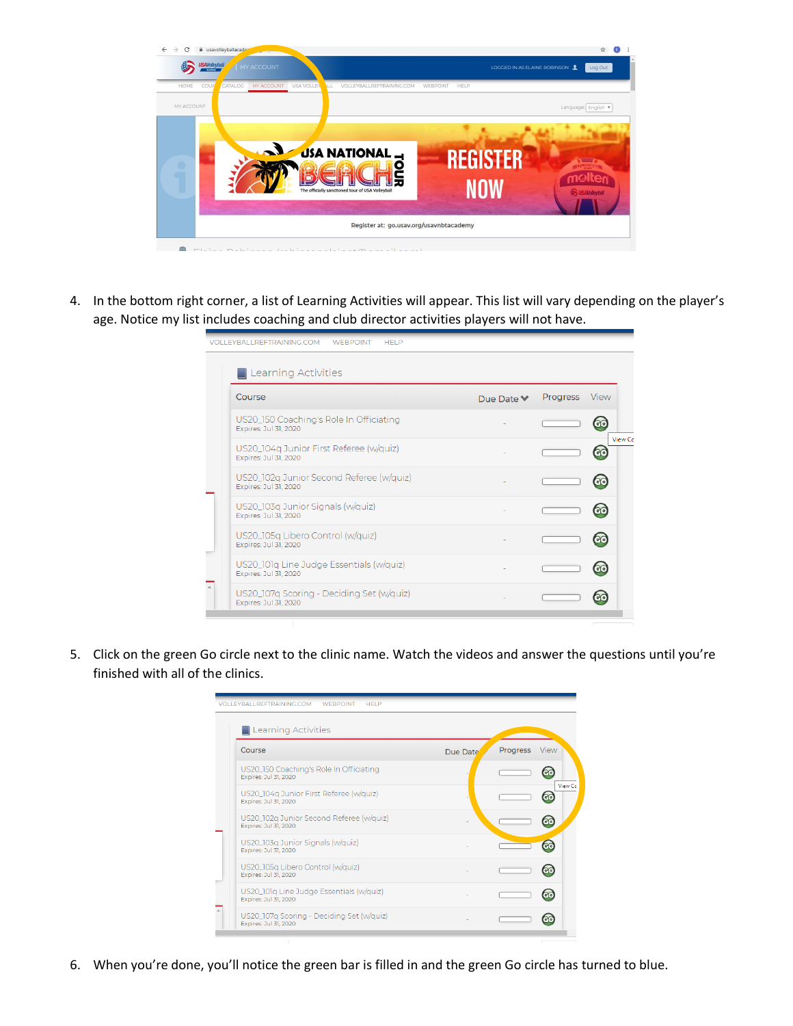

4. In the bottom right corner, a list of Learning Activities will appear. This list will vary depending on the player's age. Notice my list includes coaching and club director activities players will not have.

| <b>VOLLEYBALLREFTRAINING.COM</b><br><b>HELP</b><br><b>WEBPOINT</b> |                               |          |                                   |
|--------------------------------------------------------------------|-------------------------------|----------|-----------------------------------|
| <b>Learning Activities</b>                                         |                               |          |                                   |
| Course                                                             | Due Date $\blacktriangledown$ | Progress | View                              |
| US20_150 Coaching's Role In Officiating<br>Expires: Jul 31, 2020   |                               |          | $G$ <sup><math>\odot</math></sup> |
| US20_104q Junior First Referee (w/quiz)<br>Expires: Jul 31, 2020   |                               |          | View Cc<br><b>a</b>               |
| US20_102q Junior Second Referee (w/quiz)<br>Expires: Jul 31, 2020  |                               |          | G <sub>O</sub>                    |
| US20_103q Junior Signals (w/quiz)<br>Expires: Jul 31, 2020         |                               |          | $\overline{c}$ $\overline{c}$     |
| US20_105q Libero Control (w/quiz)<br>Expires: Jul 31, 2020         |                               |          |                                   |
| US20_101q Line Judge Essentials (w/quiz)<br>Expires: Jul 31, 2020  |                               |          |                                   |
| US20_107q Scoring - Deciding Set (w/quiz)<br>Expires: Jul 31, 2020 |                               |          |                                   |
|                                                                    |                               |          |                                   |

5. Click on the green Go circle next to the clinic name. Watch the videos and answer the questions until you're finished with all of the clinics.

| <b>VOLLEYBALLREFTRAINING.COM</b><br><b>WEBPOINT</b><br><b>HELP</b><br><b>Learning Activities</b> |          |          |                      |
|--------------------------------------------------------------------------------------------------|----------|----------|----------------------|
| Course                                                                                           | Due Date | Progress | View                 |
| US20_150 Coaching's Role In Officiating<br>Expires: Jul 31, 2020                                 |          |          |                      |
| US20_104q Junior First Referee (w/quiz)<br>Expires: Jul 31, 2020                                 |          |          | View Cc<br><b>GO</b> |
| US20_102q Junior Second Referee (w/quiz)<br>Expires: Jul 31, 2020                                |          |          | GO                   |
| US20_103q Junior Signals (w/quiz)<br>Expires: Jul 31, 2020                                       |          |          | <b>a</b>             |
| US20_105q Libero Control (w/quiz)<br>Expires: Jul 31, 2020                                       |          |          |                      |
| US20_101q Line Judge Essentials (w/quiz)<br>Expires: Jul 31, 2020                                |          |          |                      |
| US20_107q Scoring - Deciding Set (w/quiz)<br>Expires: Jul 31, 2020                               |          |          |                      |

6. When you're done, you'll notice the green bar is filled in and the green Go circle has turned to blue.